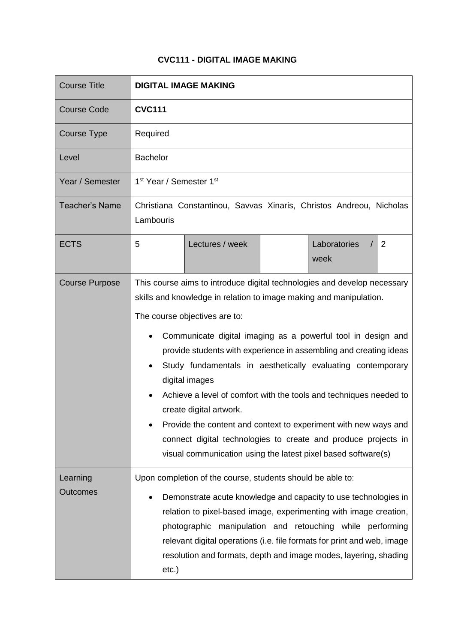## **CVC111 - DIGITAL IMAGE MAKING**

| <b>Course Title</b>         | <b>DIGITAL IMAGE MAKING</b>                                                                                                                                                                                                                                                                                                                                                                                                                                                                                                                                                                                                                                                                                  |  |  |
|-----------------------------|--------------------------------------------------------------------------------------------------------------------------------------------------------------------------------------------------------------------------------------------------------------------------------------------------------------------------------------------------------------------------------------------------------------------------------------------------------------------------------------------------------------------------------------------------------------------------------------------------------------------------------------------------------------------------------------------------------------|--|--|
| <b>Course Code</b>          | <b>CVC111</b>                                                                                                                                                                                                                                                                                                                                                                                                                                                                                                                                                                                                                                                                                                |  |  |
| <b>Course Type</b>          | Required                                                                                                                                                                                                                                                                                                                                                                                                                                                                                                                                                                                                                                                                                                     |  |  |
| Level                       | <b>Bachelor</b>                                                                                                                                                                                                                                                                                                                                                                                                                                                                                                                                                                                                                                                                                              |  |  |
| Year / Semester             | 1 <sup>st</sup> Year / Semester 1 <sup>st</sup>                                                                                                                                                                                                                                                                                                                                                                                                                                                                                                                                                                                                                                                              |  |  |
| <b>Teacher's Name</b>       | Christiana Constantinou, Savvas Xinaris, Christos Andreou, Nicholas<br>Lambouris                                                                                                                                                                                                                                                                                                                                                                                                                                                                                                                                                                                                                             |  |  |
| <b>ECTS</b>                 | Laboratories<br>5<br>Lectures / week<br>$\overline{2}$<br>week                                                                                                                                                                                                                                                                                                                                                                                                                                                                                                                                                                                                                                               |  |  |
| <b>Course Purpose</b>       | This course aims to introduce digital technologies and develop necessary<br>skills and knowledge in relation to image making and manipulation.<br>The course objectives are to:<br>Communicate digital imaging as a powerful tool in design and<br>provide students with experience in assembling and creating ideas<br>Study fundamentals in aesthetically evaluating contemporary<br>digital images<br>Achieve a level of comfort with the tools and techniques needed to<br>create digital artwork.<br>Provide the content and context to experiment with new ways and<br>connect digital technologies to create and produce projects in<br>visual communication using the latest pixel based software(s) |  |  |
| Learning<br><b>Outcomes</b> | Upon completion of the course, students should be able to:<br>Demonstrate acute knowledge and capacity to use technologies in<br>relation to pixel-based image, experimenting with image creation,<br>photographic manipulation and retouching while performing<br>relevant digital operations (i.e. file formats for print and web, image<br>resolution and formats, depth and image modes, layering, shading<br>$etc.$ )                                                                                                                                                                                                                                                                                   |  |  |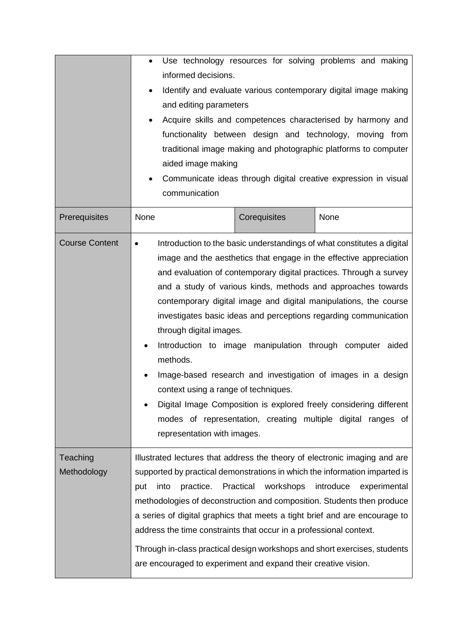|                         | $\bullet$<br>informed decisions.<br>and editing parameters<br>٠<br>aided image making<br>communication                                                                                                                                                                                                                                                                                                                                                                                                                                                            |                        | Use technology resources for solving problems and making<br>Identify and evaluate various contemporary digital image making<br>Acquire skills and competences characterised by harmony and<br>functionality between design and technology, moving from<br>traditional image making and photographic platforms to computer<br>Communicate ideas through digital creative expression in visual                                                                                                                                                                                                                                                                                                  |
|-------------------------|-------------------------------------------------------------------------------------------------------------------------------------------------------------------------------------------------------------------------------------------------------------------------------------------------------------------------------------------------------------------------------------------------------------------------------------------------------------------------------------------------------------------------------------------------------------------|------------------------|-----------------------------------------------------------------------------------------------------------------------------------------------------------------------------------------------------------------------------------------------------------------------------------------------------------------------------------------------------------------------------------------------------------------------------------------------------------------------------------------------------------------------------------------------------------------------------------------------------------------------------------------------------------------------------------------------|
| Prerequisites           | None                                                                                                                                                                                                                                                                                                                                                                                                                                                                                                                                                              | Corequisites           | None                                                                                                                                                                                                                                                                                                                                                                                                                                                                                                                                                                                                                                                                                          |
| <b>Course Content</b>   | $\bullet$<br>through digital images.<br>٠<br>methods.<br>context using a range of techniques.<br>representation with images.                                                                                                                                                                                                                                                                                                                                                                                                                                      |                        | Introduction to the basic understandings of what constitutes a digital<br>image and the aesthetics that engage in the effective appreciation<br>and evaluation of contemporary digital practices. Through a survey<br>and a study of various kinds, methods and approaches towards<br>contemporary digital image and digital manipulations, the course<br>investigates basic ideas and perceptions regarding communication<br>Introduction to image manipulation through computer aided<br>Image-based research and investigation of images in a design<br>Digital Image Composition is explored freely considering different<br>modes of representation, creating multiple digital ranges of |
| Teaching<br>Methodology | Illustrated lectures that address the theory of electronic imaging and are<br>supported by practical demonstrations in which the information imparted is<br>into<br>practice.<br>put<br>methodologies of deconstruction and composition. Students then produce<br>a series of digital graphics that meets a tight brief and are encourage to<br>address the time constraints that occur in a professional context.<br>Through in-class practical design workshops and short exercises, students<br>are encouraged to experiment and expand their creative vision. | Practical<br>workshops | introduce<br>experimental                                                                                                                                                                                                                                                                                                                                                                                                                                                                                                                                                                                                                                                                     |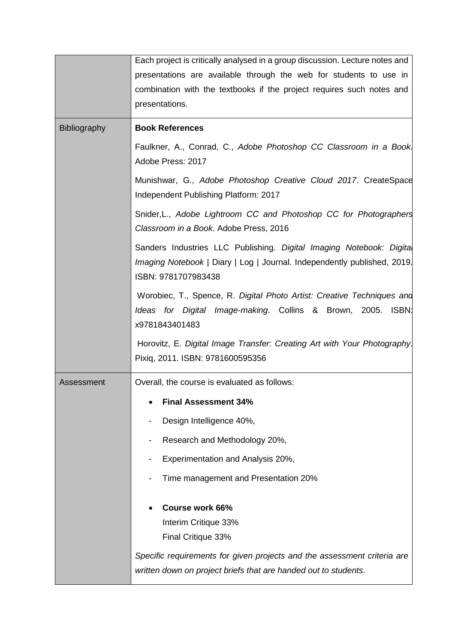|                     | Each project is critically analysed in a group discussion. Lecture notes and                                                                                            |
|---------------------|-------------------------------------------------------------------------------------------------------------------------------------------------------------------------|
|                     | presentations are available through the web for students to use in                                                                                                      |
|                     | combination with the textbooks if the project requires such notes and                                                                                                   |
|                     | presentations.                                                                                                                                                          |
|                     |                                                                                                                                                                         |
| <b>Bibliography</b> | <b>Book References</b>                                                                                                                                                  |
|                     | Faulkner, A., Conrad, C., Adobe Photoshop CC Classroom in a Book<br>Adobe Press: 2017                                                                                   |
|                     | Munishwar, G., Adobe Photoshop Creative Cloud 2017. CreateSpace<br>Independent Publishing Platform: 2017                                                                |
|                     | Snider, L., Adobe Lightroom CC and Photoshop CC for Photographers<br>Classroom in a Book. Adobe Press, 2016                                                             |
|                     | Sanders Industries LLC Publishing. Digital Imaging Notebook: Digital<br>Imaging Notebook   Diary   Log   Journal. Independently published, 2019.<br>ISBN: 9781707983438 |
|                     | Worobiec, T., Spence, R. Digital Photo Artist: Creative Techniques and<br>Ideas for Digital Image-making. Collins & Brown, 2005. ISBN:<br>x9781843401483                |
|                     | Horovitz, E. Digital Image Transfer: Creating Art with Your Photography.<br>Pixiq, 2011. ISBN: 9781600595356                                                            |
| Assessment          | Overall, the course is evaluated as follows:                                                                                                                            |
|                     | <b>Final Assessment 34%</b>                                                                                                                                             |
|                     | Design Intelligence 40%,                                                                                                                                                |
|                     |                                                                                                                                                                         |
|                     | Research and Methodology 20%,                                                                                                                                           |
|                     | Experimentation and Analysis 20%,                                                                                                                                       |
|                     | Time management and Presentation 20%                                                                                                                                    |
|                     | <b>Course work 66%</b>                                                                                                                                                  |
|                     | Interim Critique 33%                                                                                                                                                    |
|                     | Final Critique 33%                                                                                                                                                      |
|                     | Specific requirements for given projects and the assessment criteria are                                                                                                |
|                     | written down on project briefs that are handed out to students.                                                                                                         |